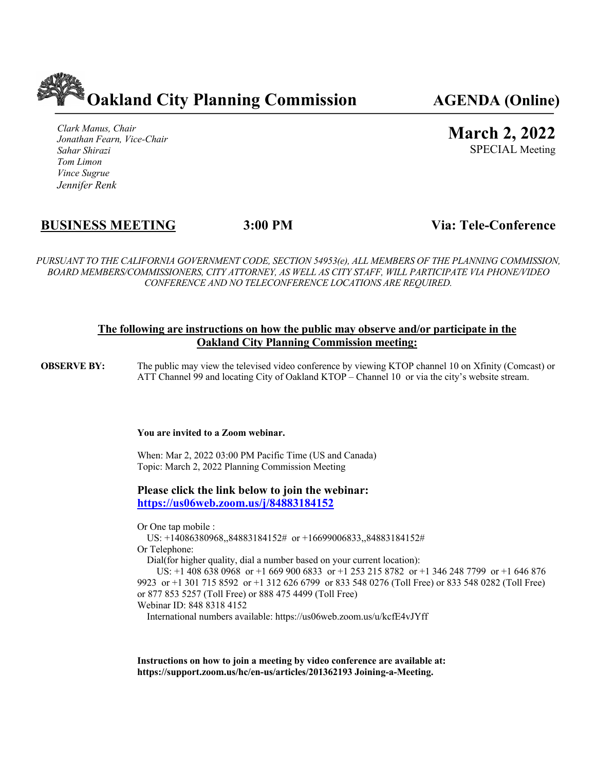

*Clark Manus, Chair Jonathan Fearn, Vice-Chair Sahar Shirazi Tom Limon Vince Sugrue Jennifer Renk*

# **March 2, 2022**

SPECIAL Meeting

## **BUSINESS MEETING 3:00 PM Via: Tele-Conference**

*PURSUANT TO THE CALIFORNIA GOVERNMENT CODE, SECTION 54953(e), ALL MEMBERS OF THE PLANNING COMMISSION, BOARD MEMBERS/COMMISSIONERS, CITY ATTORNEY, AS WELL AS CITY STAFF, WILL PARTICIPATE VIA PHONE/VIDEO CONFERENCE AND NO TELECONFERENCE LOCATIONS ARE REQUIRED.*

#### **The following are instructions on how the public may observe and/or participate in the Oakland City Planning Commission meeting:**

**OBSERVE BY:** The public may view the televised video conference by viewing KTOP channel 10 on Xfinity (Comcast) or ATT Channel 99 and locating City of Oakland KTOP – Channel 10 or via the city's website stream.

#### **You are invited to a Zoom webinar.**

When: Mar 2, 2022 03:00 PM Pacific Time (US and Canada) Topic: March 2, 2022 Planning Commission Meeting

**Please click the link below to join the webinar: https://us06web.zoom.us/j/84883184152**

Or One tap mobile :

US: +14086380968,,84883184152# or +16699006833,,84883184152#

Or Telephone:

Dial(for higher quality, dial a number based on your current location):

 US: +1 408 638 0968 or +1 669 900 6833 or +1 253 215 8782 or +1 346 248 7799 or +1 646 876 9923 or +1 301 715 8592 or +1 312 626 6799 or 833 548 0276 (Toll Free) or 833 548 0282 (Toll Free) or 877 853 5257 (Toll Free) or 888 475 4499 (Toll Free) Webinar ID: 848 8318 4152

International numbers available: https://us06web.zoom.us/u/kcfE4vJYff

**Instructions on how to join a meeting by video conference are available at: https://support.zoom.us/hc/en-us/articles/201362193 Joining-a-Meeting.**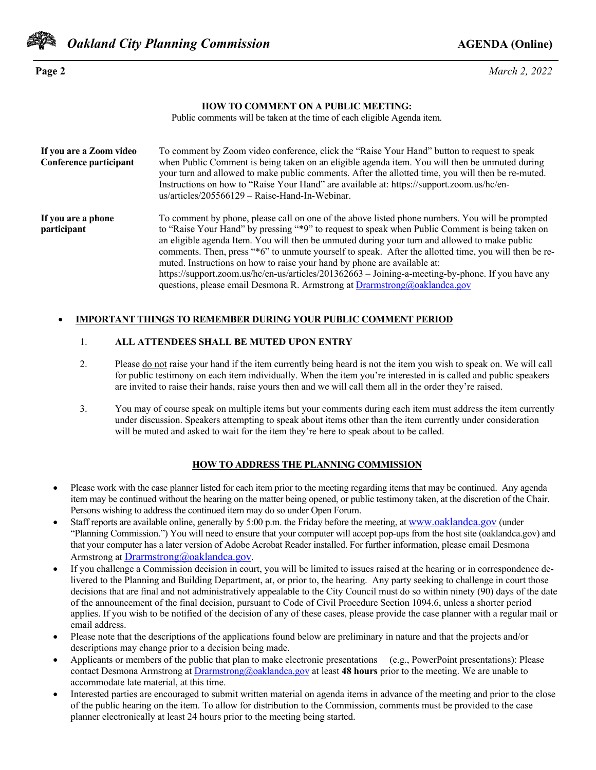

**Page 2** *March 2, 2022*

#### **HOW TO COMMENT ON A PUBLIC MEETING:**

Public comments will be taken at the time of each eligible Agenda item.

| If you are a Zoom video<br>Conference participant | To comment by Zoom video conference, click the "Raise Your Hand" button to request to speak<br>when Public Comment is being taken on an eligible agenda item. You will then be unmuted during<br>your turn and allowed to make public comments. After the allotted time, you will then be re-muted.<br>Instructions on how to "Raise Your Hand" are available at: https://support.zoom.us/hc/en-<br>us/articles/205566129 - Raise-Hand-In-Webinar.                                                                                                                                                                                                                         |
|---------------------------------------------------|----------------------------------------------------------------------------------------------------------------------------------------------------------------------------------------------------------------------------------------------------------------------------------------------------------------------------------------------------------------------------------------------------------------------------------------------------------------------------------------------------------------------------------------------------------------------------------------------------------------------------------------------------------------------------|
| If you are a phone<br>participant                 | To comment by phone, please call on one of the above listed phone numbers. You will be prompted<br>to "Raise Your Hand" by pressing "*9" to request to speak when Public Comment is being taken on<br>an eligible agenda Item. You will then be unmuted during your turn and allowed to make public<br>comments. Then, press "*6" to unmute yourself to speak. After the allotted time, you will then be re-<br>muted. Instructions on how to raise your hand by phone are available at:<br>https://support.zoom.us/hc/en-us/articles/201362663 – Joining-a-meeting-by-phone. If you have any<br>questions, please email Desmona R. Armstrong at Drarmstrong@oaklandca.gov |

#### • **IMPORTANT THINGS TO REMEMBER DURING YOUR PUBLIC COMMENT PERIOD**

#### 1. **ALL ATTENDEES SHALL BE MUTED UPON ENTRY**

- 2. Please do not raise your hand if the item currently being heard is not the item you wish to speak on. We will call for public testimony on each item individually. When the item you're interested in is called and public speakers are invited to raise their hands, raise yours then and we will call them all in the order they're raised.
- 3. You may of course speak on multiple items but your comments during each item must address the item currently under discussion. Speakers attempting to speak about items other than the item currently under consideration will be muted and asked to wait for the item they're here to speak about to be called.

#### **HOW TO ADDRESS THE PLANNING COMMISSION**

- Please work with the case planner listed for each item prior to the meeting regarding items that may be continued. Any agenda item may be continued without the hearing on the matter being opened, or public testimony taken, at the discretion of the Chair. Persons wishing to address the continued item may do so under Open Forum.
- Staff reports are available online, generally by 5:00 p.m. the Friday before the meeting, at www.oaklandca.gov (under "Planning Commission.") You will need to ensure that your computer will accept pop-ups from the host site (oaklandca.gov) and that your computer has a later version of Adobe Acrobat Reader installed. For further information, please email Desmona Armstrong at Drarmstrong@oaklandca.gov.
- If you challenge a Commission decision in court, you will be limited to issues raised at the hearing or in correspondence delivered to the Planning and Building Department, at, or prior to, the hearing. Any party seeking to challenge in court those decisions that are final and not administratively appealable to the City Council must do so within ninety (90) days of the date of the announcement of the final decision, pursuant to Code of Civil Procedure Section 1094.6, unless a shorter period applies. If you wish to be notified of the decision of any of these cases, please provide the case planner with a regular mail or email address.
- Please note that the descriptions of the applications found below are preliminary in nature and that the projects and/or descriptions may change prior to a decision being made.
- Applicants or members of the public that plan to make electronic presentations (e.g., PowerPoint presentations): Please contact Desmona Armstrong at Drarmstrong@oaklandca.gov at least **48 hours** prior to the meeting. We are unable to accommodate late material, at this time.
- Interested parties are encouraged to submit written material on agenda items in advance of the meeting and prior to the close of the public hearing on the item. To allow for distribution to the Commission, comments must be provided to the case planner electronically at least 24 hours prior to the meeting being started.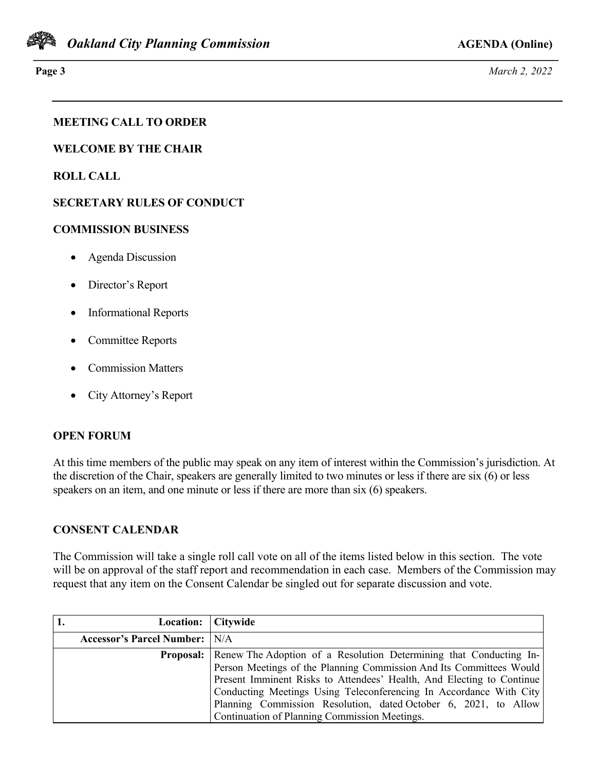

**Page 3** *March 2, 2022*

## **MEETING CALL TO ORDER**

**WELCOME BY THE CHAIR**

**ROLL CALL**

## **SECRETARY RULES OF CONDUCT**

#### **COMMISSION BUSINESS**

- Agenda Discussion
- Director's Report
- Informational Reports
- Committee Reports
- Commission Matters
- City Attorney's Report

### **OPEN FORUM**

At this time members of the public may speak on any item of interest within the Commission's jurisdiction. At the discretion of the Chair, speakers are generally limited to two minutes or less if there are six (6) or less speakers on an item, and one minute or less if there are more than six (6) speakers.

### **CONSENT CALENDAR**

The Commission will take a single roll call vote on all of the items listed below in this section. The vote will be on approval of the staff report and recommendation in each case. Members of the Commission may request that any item on the Consent Calendar be singled out for separate discussion and vote.

| Location: Citywide                   |                                                                                       |
|--------------------------------------|---------------------------------------------------------------------------------------|
| <b>Accessor's Parcel Number:</b> N/A |                                                                                       |
|                                      | <b>Proposal:</b>   Renew The Adoption of a Resolution Determining that Conducting In- |
|                                      | Person Meetings of the Planning Commission And Its Committees Would                   |
|                                      | Present Imminent Risks to Attendees' Health, And Electing to Continue                 |
|                                      | Conducting Meetings Using Teleconferencing In Accordance With City                    |
|                                      | Planning Commission Resolution, dated October 6, 2021, to Allow                       |
|                                      | Continuation of Planning Commission Meetings.                                         |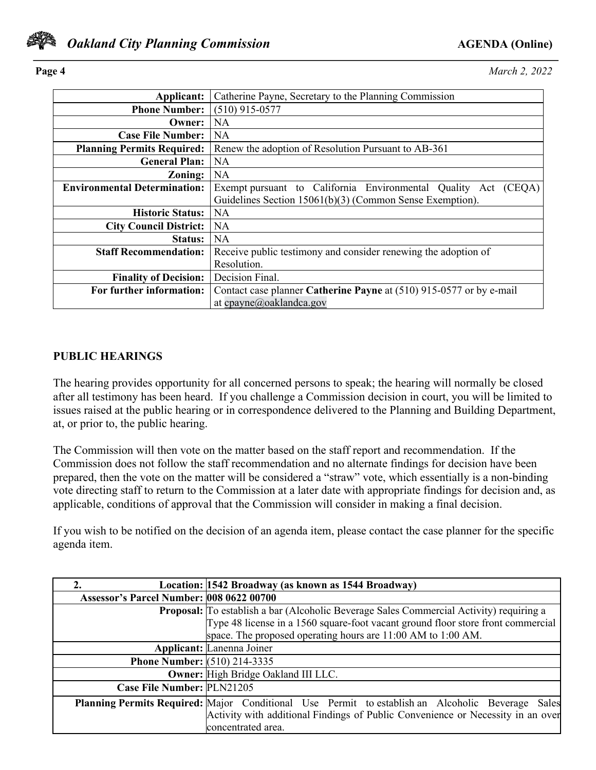

**Page 4** *March 2, 2022*

| Applicant:                          | Catherine Payne, Secretary to the Planning Commission               |
|-------------------------------------|---------------------------------------------------------------------|
| <b>Phone Number:</b>                | $(510)$ 915-0577                                                    |
| Owner:                              | NA.                                                                 |
| <b>Case File Number:</b>            | NA                                                                  |
| <b>Planning Permits Required:</b>   | Renew the adoption of Resolution Pursuant to AB-361                 |
| <b>General Plan:</b>                | <b>NA</b>                                                           |
| Zoning:                             | NA                                                                  |
| <b>Environmental Determination:</b> | Exempt pursuant to California Environmental Quality Act<br>(CEQA)   |
|                                     | Guidelines Section 15061(b)(3) (Common Sense Exemption).            |
| <b>Historic Status:</b>             | NA.                                                                 |
| <b>City Council District:</b>       | NA                                                                  |
| <b>Status:</b>                      | <b>NA</b>                                                           |
| <b>Staff Recommendation:</b>        | Receive public testimony and consider renewing the adoption of      |
|                                     | Resolution.                                                         |
| <b>Finality of Decision:</b>        | Decision Final.                                                     |
| For further information:            | Contact case planner Catherine Payne at (510) 915-0577 or by e-mail |
|                                     | at cpayne@oaklandca.gov                                             |

## **PUBLIC HEARINGS**

The hearing provides opportunity for all concerned persons to speak; the hearing will normally be closed after all testimony has been heard. If you challenge a Commission decision in court, you will be limited to issues raised at the public hearing or in correspondence delivered to the Planning and Building Department, at, or prior to, the public hearing.

The Commission will then vote on the matter based on the staff report and recommendation. If the Commission does not follow the staff recommendation and no alternate findings for decision have been prepared, then the vote on the matter will be considered a "straw" vote, which essentially is a non-binding vote directing staff to return to the Commission at a later date with appropriate findings for decision and, as applicable, conditions of approval that the Commission will consider in making a final decision.

If you wish to be notified on the decision of an agenda item, please contact the case planner for the specific agenda item.

|                                                 | Location: 1542 Broadway (as known as 1544 Broadway)                                              |
|-------------------------------------------------|--------------------------------------------------------------------------------------------------|
| <b>Assessor's Parcel Number: 008 0622 00700</b> |                                                                                                  |
|                                                 | <b>Proposal:</b> To establish a bar (Alcoholic Beverage Sales Commercial Activity) requiring a   |
|                                                 | Type 48 license in a 1560 square-foot vacant ground floor store front commercial                 |
|                                                 | space. The proposed operating hours are $11:00$ AM to $1:00$ AM.                                 |
|                                                 | <b>Applicant:</b> Lanenna Joiner                                                                 |
| <b>Phone Number:</b> (510) 214-3335             |                                                                                                  |
|                                                 | <b>Owner:</b> High Bridge Oakland III LLC.                                                       |
| Case File Number: PLN21205                      |                                                                                                  |
|                                                 | Planning Permits Required: Major Conditional Use Permit to establish an Alcoholic Beverage Sales |
|                                                 | Activity with additional Findings of Public Convenience or Necessity in an over                  |
|                                                 | concentrated area.                                                                               |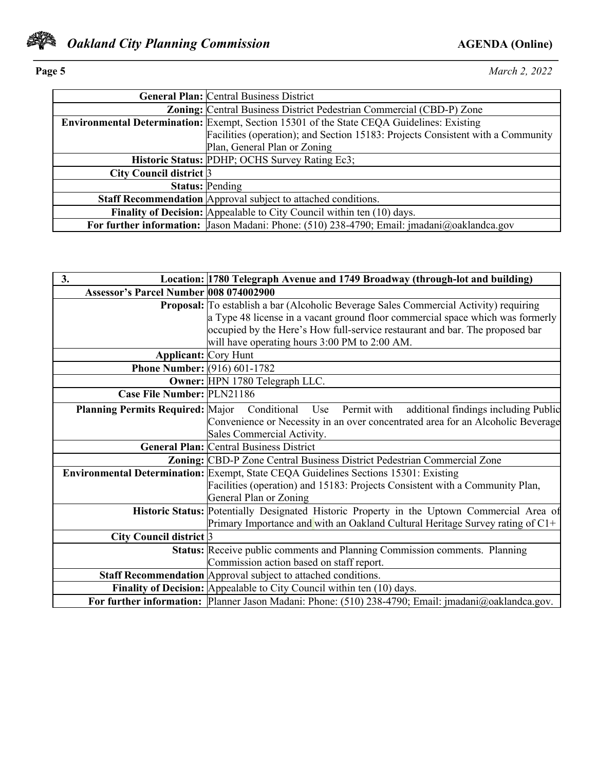

**Page 5** *March 2, 2022*

|                         | <b>General Plan: Central Business District</b>                                                   |
|-------------------------|--------------------------------------------------------------------------------------------------|
|                         | <b>Zoning:</b> Central Business District Pedestrian Commercial (CBD-P) Zone                      |
|                         | <b>Environmental Determination:</b> Exempt, Section 15301 of the State CEQA Guidelines: Existing |
|                         | Facilities (operation); and Section 15183: Projects Consistent with a Community                  |
|                         | Plan, General Plan or Zoning                                                                     |
|                         | Historic Status: PDHP; OCHS Survey Rating Ec3;                                                   |
| City Council district 3 |                                                                                                  |
|                         | <b>Status: Pending</b>                                                                           |
|                         | <b>Staff Recommendation</b> Approval subject to attached conditions.                             |
|                         | <b>Finality of Decision:</b> Appealable to City Council within ten (10) days.                    |
|                         | For further information: Jason Madani: Phone: (510) 238-4790; Email: jmadani@oaklandca.gov       |

| 3.                                     | Location: 1780 Telegraph Avenue and 1749 Broadway (through-lot and building)                         |
|----------------------------------------|------------------------------------------------------------------------------------------------------|
| Assessor's Parcel Number 008 074002900 |                                                                                                      |
|                                        | <b>Proposal:</b> To establish a bar (Alcoholic Beverage Sales Commercial Activity) requiring         |
|                                        | a Type 48 license in a vacant ground floor commercial space which was formerly                       |
|                                        | occupied by the Here's How full-service restaurant and bar. The proposed bar                         |
|                                        | will have operating hours 3:00 PM to 2:00 AM.                                                        |
| <b>Applicant:</b> Cory Hunt            |                                                                                                      |
| <b>Phone Number:</b> (916) 601-1782    |                                                                                                      |
|                                        | Owner: HPN 1780 Telegraph LLC.                                                                       |
| Case File Number: PLN21186             |                                                                                                      |
|                                        | Planning Permits Required: Major Conditional Use Permit with<br>additional findings including Public |
|                                        | Convenience or Necessity in an over concentrated area for an Alcoholic Beverage                      |
|                                        | Sales Commercial Activity.                                                                           |
|                                        | <b>General Plan: Central Business District</b>                                                       |
|                                        | Zoning: CBD-P Zone Central Business District Pedestrian Commercial Zone                              |
|                                        | Environmental Determination: Exempt, State CEQA Guidelines Sections 15301: Existing                  |
|                                        | Facilities (operation) and 15183: Projects Consistent with a Community Plan,                         |
|                                        | General Plan or Zoning                                                                               |
|                                        | Historic Status: Potentially Designated Historic Property in the Uptown Commercial Area of           |
|                                        | Primary Importance and with an Oakland Cultural Heritage Survey rating of $C1+$                      |
| City Council district 3                |                                                                                                      |
|                                        | Status: Receive public comments and Planning Commission comments. Planning                           |
|                                        | Commission action based on staff report.                                                             |
|                                        | Staff Recommendation Approval subject to attached conditions.                                        |
|                                        | <b>Finality of Decision:</b> Appealable to City Council within ten (10) days.                        |
|                                        | For further information: Planner Jason Madani: Phone: (510) 238-4790; Email: jmadani@oaklandca.gov.  |